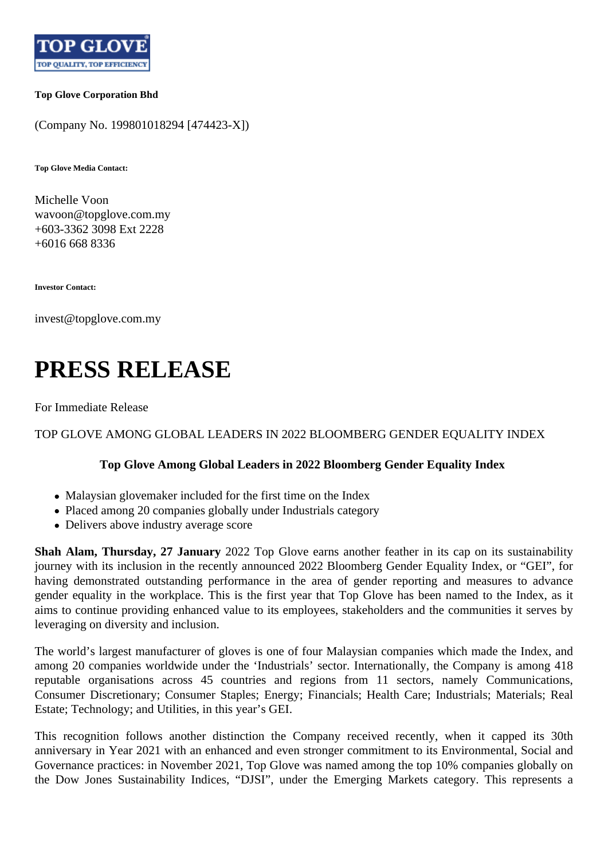

## **Top Glove Corporation Bhd**

(Company No. 199801018294 [474423-X])

**Top Glove Media Contact:**

Michelle Voon wavoon@topglove.com.my +603-3362 3098 Ext 2228 +6016 668 8336

**Investor Contact:**

invest@topglove.com.my

## **PRESS RELEASE**

For Immediate Release

TOP GLOVE AMONG GLOBAL LEADERS IN 2022 BLOOMBERG GENDER EQUALITY INDEX

## **Top Glove Among Global Leaders in 2022 Bloomberg Gender Equality Index**

- Malaysian glovemaker included for the first time on the Index
- Placed among 20 companies globally under Industrials category
- Delivers above industry average score

**Shah Alam, Thursday, 27 January** 2022 Top Glove earns another feather in its cap on its sustainability journey with its inclusion in the recently announced 2022 Bloomberg Gender Equality Index, or "GEI", for having demonstrated outstanding performance in the area of gender reporting and measures to advance gender equality in the workplace. This is the first year that Top Glove has been named to the Index, as it aims to continue providing enhanced value to its employees, stakeholders and the communities it serves by leveraging on diversity and inclusion.

The world's largest manufacturer of gloves is one of four Malaysian companies which made the Index, and among 20 companies worldwide under the 'Industrials' sector. Internationally, the Company is among 418 reputable organisations across 45 countries and regions from 11 sectors, namely Communications, Consumer Discretionary; Consumer Staples; Energy; Financials; Health Care; Industrials; Materials; Real Estate; Technology; and Utilities, in this year's GEI.

This recognition follows another distinction the Company received recently, when it capped its 30th anniversary in Year 2021 with an enhanced and even stronger commitment to its Environmental, Social and Governance practices: in November 2021, Top Glove was named among the top 10% companies globally on the Dow Jones Sustainability Indices, "DJSI", under the Emerging Markets category. This represents a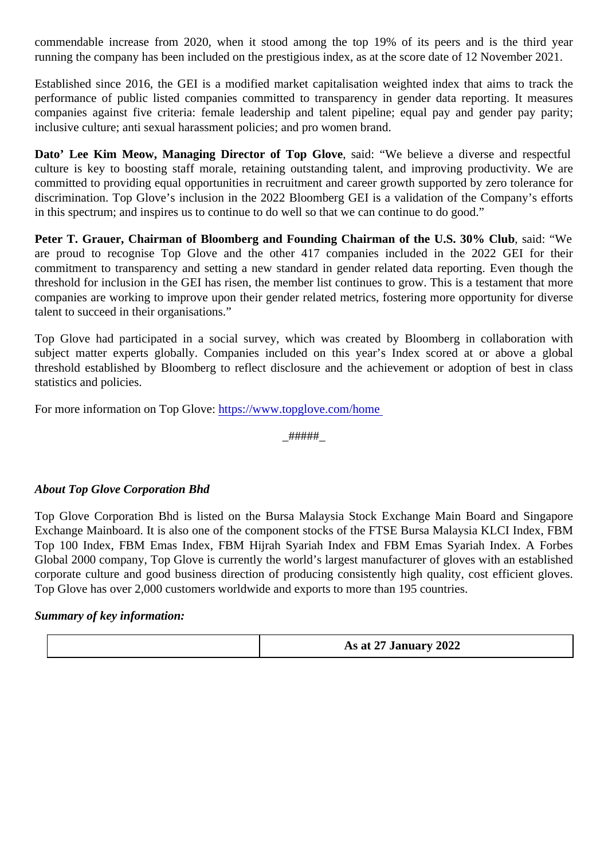commendable increase from 2020, when it stood among the top 19% of its peers and is the third y running the company has been included on the prestigious index, as at the score date of 12 November 20

Established since 2016, the GEI is a modified market capitalisation weighted index that aims to track performance of public listed companies committed to transparency in gender data reporting. It measure companies against five criteria: female leadership and talent pipeline; equal pay and gender pay pa inclusive culture; anti sexual harassment policies; and pro women brand.

Dato' Lee Kim Meow, Managing Director of Top Glove, said: "We believe a diverse and respectful culture is key to boosting staff morale, retaining outstanding talent, and improving productivity. We are committed to providing equal opportunities in recruitment and career growth supported by zero tolerance discrimination. Top Glove's inclusion in the 2022 Bloomberg GEI is a validation of the Company's effort in this spectrum; and inspires us to continue to do well so that we can continue to do good."

Peter T. Grauer, Chairman of Bloomberg and Founding Chairman of the U.S. 30% Clubsaid: "We are proud to recognise Top Glove and the other 417 companies included in the 2022 GEI for the commitment to transparency and setting a new standard in gender related data reporting. Even though threshold for inclusion in the GEI has risen, the member list continues to grow. This is a testament that more companies are working to improve upon their gender related metrics, fostering more opportunity for diver talent to succeed in their organisations."

Top Glove had participated in a social survey, which was created by Bloomberg in collaboration with subject matter experts globally. Companies included on this year's Index scored at or above a glo threshold established by Bloomberg to reflect disclosure and the achievement or adoption of best in c statistics and policies.

For more information on Top Glovettps://www.topglove.com/home

#####

About Top Glove Corporation Bhd

Top Glove Corporation Bhd is listed on the Bursa Malaysia Stock Exchange Main Board and Singapore Exchange Mainboard. It is also one of the component stocks of the FTSE Bursa Malaysia KLCI Index, FE Top 100 Index, FBM Emas Index, FBM Hijrah Syariah Index and FBM Emas Syariah Index. A Forbes Global 2000 company, Top Glove is currently the world's largest manufacturer of gloves with an establish corporate culture and good business direction of producing consistently high quality, cost efficient glove Top Glove has over 2,000 customers worldwide and exports to more than 195 countries.

Summary of key information:

As at 27 January 2022